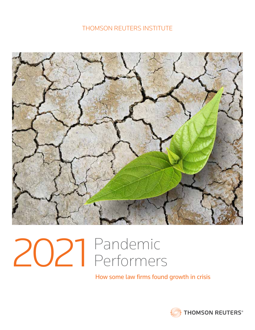## THOMSON REUTERS INSTITUTE



# 2021 Pandemic Performers

How some law firms found growth in crisis

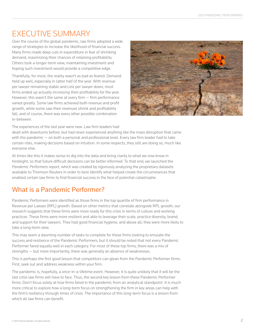# EXECUTIVE SUMMARY

Over the course of the global pandemic, law firms adopted a wide range of strategies to increase the likelihood of financial success. Many firms made deep cuts in expenditure in fear of shrinking demand, maximizing their chances of retaining profitability. Others took a longer-term view, maintaining investment and hoping such investment would provide a competitive edge.

Thankfully, for most, the reality wasn't as bad as feared. Demand held up well, especially in latter half of the year. With revenue per lawyer remaining stable and cost per lawyer down, most firms ended up actually *increasing* their profitability for the year. However, this wasn't the same at every firm — firm performance varied greatly. Some law firms achieved both revenue and profit growth, while some saw their revenues shrink and profitability fall, and of course, there was every other possible combination in-between.



The experiences of the last year were new. Law firm leaders had dealt with downturns before, but had never experienced anything like the mass disruption that came with the pandemic — on both a personal and professional level. Every law firm leader had to take certain risks, making decisions based on intuition. In some respects, they still are doing so, much like everyone else.

At times like this it makes sense to dig into the data and bring clarity to what we now know in hindsight, so that future difficult decisions can be better informed. To that end, we launched the *Pandemic Performers* report, which was created by rigorously analyzing the proprietary datasets available to Thomson Reuters in order to best identify what helped create the circumstances that enabled certain law firms to find financial success in the face of potential catastrophe.

## What is a Pandemic Performer?

Pandemic Performers were identified as those firms in the top quartile of firm performance in Revenue per Lawyer (RPL) growth. Based on other metrics that correlate alongside RPL growth, our research suggests that these firms were more ready for this crisis in terms of culture and working practices. These firms were more resilient and able to leverage their scale, practice diversity, brand, and support for their lawyers. They had good financial hygiene; and above all, they were more likely to take a long-term view.

This may seem a daunting number of tasks to complete for those firms looking to emulate the success and resilience of the Pandemic Performers, but it should be noted that not every Pandemic Performer fared equally well in each category. For most of these top firms, there was a mix of strengths — but more importantly, there was generally an absence of weaknesses.

This is perhaps the first good lesson that competitors can glean from the Pandemic Performer firms: First, seek out and address weakness within your firm.

The pandemic is, hopefully, a once-in-a-lifetime event. However, it is quite unlikely that it will be the last crisis law firms will have to face. Thus, the second key lesson from these Pandemic Performer firms: Don't focus solely at how firms fared in the pandemic from an analytical standpoint. It is much more critical to explore how a long-term focus on strengthening the firm in key areas can help with the firm's resiliency through times of crisis. The importance of this long-term focus is a lesson from which all law firms can benefit.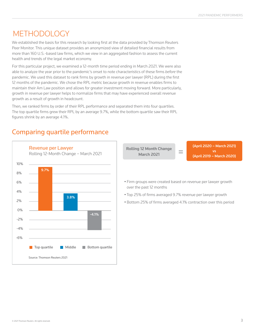# METHODOLOGY

We established the basis for this research by looking first at the data provided by Thomson Reuters Peer Monitor. This unique dataset provides an anonymized view of detailed financial results from more than 160 U.S.-based law firms, which we view in an aggregated fashion to assess the current health and trends of the legal market economy.

For this particular project, we examined a 12-month time period ending in March 2021. We were also able to analyze the year prior to the pandemic's onset to note characteristics of these firms *before* the pandemic. We used this dataset to rank firms by growth in revenue per lawyer (RPL) during the first 12 months of the pandemic. We chose the RPL metric because growth in revenue enables firms to maintain their Am Law position and allows for greater investment moving forward. More particularly, growth in revenue per lawyer helps to normalize firms that may have experienced overall revenue growth as a result of growth in headcount.

Then, we ranked firms by order of their RPL performance and separated them into four quartiles. The top quartile firms grew their RPL by an average 9.7%, while the bottom quartile saw their RPL figures shrink by an average 4.1%.

## Revenue per Lawyer Rolling 12-Month Change – March 2021 6% 8% 10% 4% 2% 0% -2%  $-4%$ -6% **The Government Control Control** Bottom quartile -4.1% 9.7% 3.8% Source: Thomson Reuters 2021 over the past 12 months March 2021

## Comparing quartile performance

Rolling 12 Month Change

(April 2020 – March 2021) vs (April 2019 – March 2020)

• Firm groups were created based on revenue per lawyer growth

=

- Top 25% of firms averaged 9.7% revenue per lawyer growth
- Bottom 25% of firms averaged 4.1% contraction over this period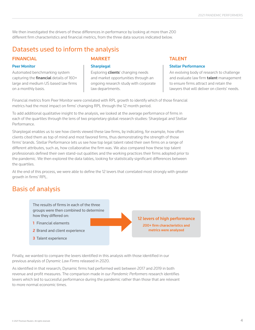We then investigated the drivers of these differences in performance by looking at more than 200 different firm characteristics and financial metrics, from the three data sources indicated below.

## Datasets used to inform the analysis

#### FINANCIAL

#### Peer Monitor

Automated benchmarking system capturing the *financial* details of 160+ large and medium US based law firms on a monthly basis.

#### MARKET

#### **Sharplegal**

Exploring **clients'** changing needs and market opportunities through an ongoing research study with corporate law departments.

#### **TAI FNT**

#### Stellar Performance

An evolving body of research to challenge and evaluate law firm **talent** management to ensure firms attract and retain the lawyers that will deliver on clients' needs.

Financial metrics from Peer Monitor were correlated with RPL growth to identify which of those financial metrics had the most impact on firms' changing RPL through the 12 month period.

To add additional qualitative insight to the analysis, we looked at the average performance of firms in each of the quartiles through the lens of two proprietary global research studies: Sharplegal and Stellar Performance.

Sharplegal enables us to see how clients viewed these law firms, by indicating, for example, how often clients cited them as top of mind and most favored firms, thus demonstrating the strength of those firms' brands. Stellar Performance lets us see how top legal talent rated their own firms on a range of different attributes, such as, how collaborative the firm was. We also compared how these top talent professionals defined their own stand-out qualities and the working practices their firms adopted prior to the pandemic. We then explored the data tables, looking for statistically significant differences between the quartiles.

At the end of this process, we were able to define the 12 levers that correlated most strongly with greater growth in firms' RPL.

## Basis of analysis

The results of firms in each of the three groups were then combined to determine how they differed on:

- 1 Financial elements
- 2 Brand and client experience
- 3 Talent experience

12 levers of high performance 200+ firm characteristics and metrics were analyzed

Finally, we wanted to compare the levers identified in this analysis with those identified in our previous analysis of *Dynamic Law Firms* released in 2020.

As identified in that research, Dynamic firms had performed well between 2017 and 2019 in both revenue and profit measures. The comparison made in our *Pandemic Performers* research identifies levers which led to successful performance during the pandemic rather than those that are relevant to more normal economic times.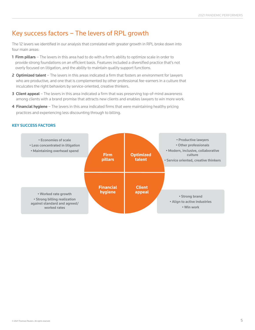## Key success factors – The levers of RPL growth

The 12 levers we identified in our analysis that correlated with greater growth in RPL broke down into four main areas:

- 1 Firm pillars The levers in this area had to do with a firm's ability to optimize scale in order to provide strong foundations on an efficient basis. Features included a diversified practice that's not overly focused on litigation, and the ability to maintain quality support functions.
- 2 Optimized talent The levers in this areas indicated a firm that fosters an environment for lawyers who are productive, and one that is complemented by other professional fee-earners in a culture that inculcates the right behaviors by service-oriented, creative thinkers.
- 3 Client appeal The levers in this area indicated a firm that was preserving top-of-mind awareness among clients with a brand promise that attracts new clients and enables lawyers to win more work.
- 4 Financial hygiene The levers in this area indicated firms that were maintaining healthy pricing practices and experiencing less discounting through to billing.

#### KEY SUCCESS FACTORS

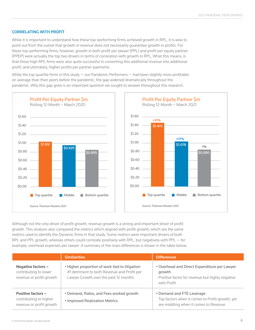#### CORRELATING WITH PROFIT

While it is important to understand how these top-performing firms achieved growth in RPL, it is wise to point out from the outset that growth in revenue does not necessarily guarantee growth in profits. For these top-performing firms, however, growth in both profit per lawyer (PPL) and profit per equity partner (PPEP) were actually the top two drivers in terms of correlation with growth in RPL. What this means, is that these high RPL firms were also quite successful in converting this additional *revenue* into additional *profit*, and ultimately, higher profits per partner payments.

While the top quartile firms in this study  $-$  our Pandemic Performers  $-$  had been slightly more profitable on average than their peers before the pandemic, the gap widened dramatically throughout the pandemic. Why this gap grew is an important question we sought to answer throughout this research.





Although not the only driver of profit growth, revenue growth is a strong and important driver of profit growth. This analysis also compared the metrics which aligned with profit growth, which are the same metrics used to identify the Dynamic firms in that study. Some metrics were important drivers of both RPL and PPL growth, whereas others could correlate positively with RPL, but negatively with PPL — for example, overhead expenses per lawyer. A summary of the main differences is shown in the table below.

|                                                                                 | <b>Similarities</b>                                                                                                                    | <b>Differences</b>                                                                                                       |
|---------------------------------------------------------------------------------|----------------------------------------------------------------------------------------------------------------------------------------|--------------------------------------------------------------------------------------------------------------------------|
| Negative factors $-$<br>contributing to lower<br>revenue or profit growth       | . Higher proportion of work tied to litigation<br>#1 detriment to both Revenue and Profit per<br>Lawyer Growth over the past 12 months | • Overhead and Direct Expenditure per Lawyer<br>growth<br>Positive factor for revenue but highly negative<br>with Profit |
| <b>Positive factors -</b><br>contributing to higher<br>revenue or profit growth | • Demand, Rates, and Fees worked growth<br>• Improved Realization Metrics                                                              | • Demand and FTE Leverage<br>Top factors when it comes to Profit growth, yet<br>are middling when it comes to Revenue    |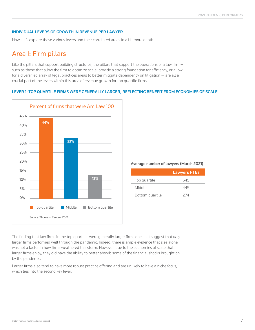#### INDIVIDUAL LEVERS OF GROWTH IN REVENUE PER LAWYER

Now, let's explore these various levers and their correlated areas in a bit more depth:

## Area I: Firm pillars

Like the pillars that support building structures, the pillars that support the operations of a law firm  $$ such as those that allow the firm to optimize scale, provide a strong foundation for efficiency, or allow for a diversified array of legal practices areas to better mitigate dependency on litigation — are all a crucial part of the levers within this area of revenue growth for top quartile firms.

#### LEVER 1: TOP QUARTILE FIRMS WERE GENERALLY LARGER, REFLECTING BENEFIT FROM ECONOMIES OF SCALE



#### Average number of lawyers (March 2021)

|                 | <b>Lawyers FTEs</b> |
|-----------------|---------------------|
| Top quartile    | 645                 |
| Middle          | 445                 |
| Bottom quartile | 274                 |

The finding that law firms in the top quartiles were generally larger firms does not suggest that *only* larger firms performed well through the pandemic. Indeed, there is ample evidence that size alone was not a factor in how firms weathered this storm. However, due to the economies of scale that larger firms enjoy, they did have the ability to better absorb some of the financial shocks brought on by the pandemic.

Larger firms also tend to have more robust practice offering and are unlikely to have a niche focus, which ties into the second key lever.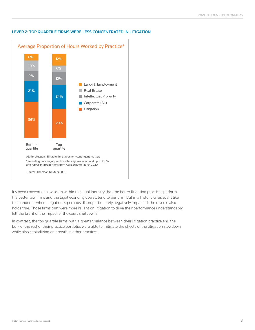

#### LEVER 2: TOP QUARTILE FIRMS WERE LESS CONCENTRATED IN LITIGATION

It's been conventional wisdom within the legal industry that the better litigation practices perform, the better law firms and the legal economy overall tend to perform. But in a historic crisis event like the pandemic where litigation is perhaps disproportionately negatively impacted, the reverse also holds true. Those firms that were more reliant on litigation to drive their performance understandably felt the brunt of the impact of the court shutdowns.

In contrast, the top quartile firms, with a greater balance between their litigation practice and the bulk of the rest of their practice portfolio, were able to mitigate the effects of the litigation slowdown while also capitalizing on growth in other practices.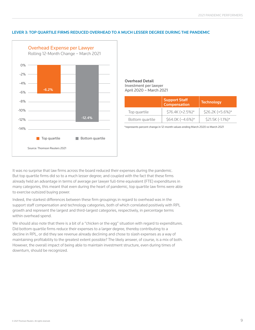#### LEVER 3: TOP QUARTILE FIRMS REDUCED OVERHEAD TO A MUCH LESSER DEGREE DURING THE PANDEMIC



#### Overhead Detail Investment per lawyer April 2020 – March 2021

|                 | Support Staff    | <b>Technology</b> |
|-----------------|------------------|-------------------|
| Top quartile    | \$76.4K (+2.5%)* | \$26.2K (+5.6%)*  |
| Bottom quartile | \$64.0K (-4.6%)* | \$21.5K (-1.1%)*  |

\*represents percent change in 12-month values ending March 2020 vs March 2021

It was no surprise that law firms across the board reduced their expenses during the pandemic. But top quartile firms did so to a much lesser degree; and coupled with the fact that these firms already held an advantage in terms of average per lawyer full-time equivalent (FTE) expenditures in many categories, this meant that even during the heart of pandemic, top quartile law firms were able to exercise outsized buying power.

Indeed, the starkest differences between these firm groupings in regard to overhead was in the support staff compensation and technology categories, both of which correlated positively with RPL growth and represent the largest and third-largest categories, respectively, in percentage terms within overhead spend.

We should also note that there is a bit of a "chicken or the egg" situation with regard to expenditures. Did bottom quartile firms reduce their expenses to a larger degree, thereby contributing to a decline in RPL, or did they see revenue already declining and chose to slash expenses as a way of maintaining profitability to the greatest extent possible? The likely answer, of course, is a mix of both. However, the overall impact of being able to maintain investment structure, even during times of downturn, should be recognized.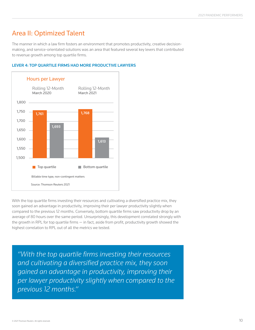## Area II: Optimized Talent

The manner in which a law firm fosters an environment that promotes productivity, creative decisionmaking, and service-orientated solutions was an area that featured several key levers that contributed to revenue growth among top quartile firms.

#### LEVER 4: TOP QUARTILE FIRMS HAD MORE PRODUCTIVE LAWYERS



With the top quartile firms investing their resources and cultivating a diversified practice mix, they soon gained an advantage in productivity, improving their per lawyer productivity slightly when compared to the previous 12 months. Conversely, bottom quartile firms saw productivity drop by an average of 80 hours over the same period. Unsurprisingly, this development correlated strongly with the growth in RPL for top quartile firms — in fact, aside from profit, productivity growth showed the highest correlation to RPL out of all the metrics we tested.

*"With the top quartile firms investing their resources and cultivating a diversified practice mix, they soon gained an advantage in productivity, improving their per lawyer productivity slightly when compared to the previous 12 months."*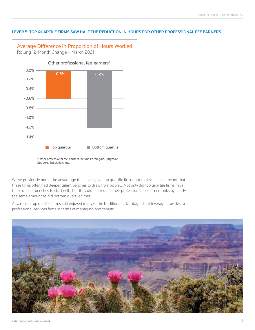

#### LEVER 5: TOP QUARTILE FIRMS SAW HALF THE REDUCTION IN HOURS FOR OTHER PROFESSIONAL FEE EARNERS

We've previously noted the advantage that scale gave top quartile firms, but that scale also meant that these firms often had deeper talent benches to draw from as well. Not only did top quartile firms have these deeper benches to start with, but they did not reduce their professional fee earner ranks by nearly the same amount as did bottom quartile firms.

As a result, top quartile firms still enjoyed many of the traditional advantages that leverage provides to professional services firms in terms of managing profitability.

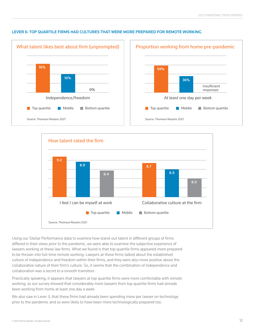

#### LEVER 6: TOP QUARTILE FIRMS HAD CULTURES THAT WERE MORE PREPARED FOR REMOTE WORKING



Using our Stellar Performance data to examine how stand-out talent in different groups of firms differed in their views prior to the pandemic, we were able to examine the subjective experience of lawyers working at these law firms. What we found is that top quartile firms appeared more prepared to be thrown into full-time remote working. Lawyers at these firms talked about the established culture of independence and freedom within their firms, and they were also more positive about the collaborative nature of their firm's culture. So, it seems that the combination of independence and collaboration was a secret to a smooth transition.

Practically speaking, it appears that lawyers at top quartile firms were more comfortable with remote working, as our survey showed that considerably more lawyers from top quartile firms had already been working from home at least one day a week.

We also saw in Lever 3, that these firms had already been spending more per lawyer on technology prior to the pandemic and so were likely to have been more technologically prepared too.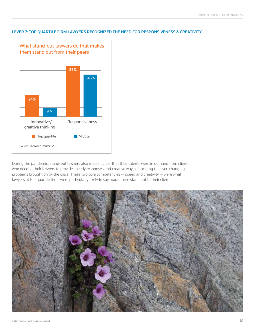

#### LEVER 7: TOP QUARTILE FIRM LAWYERS RECOGNIZED THE NEED FOR RESPONSIVENESS & CREATIVITY

During the pandemic, stand-out lawyers also made it clear that their talents were in demand from clients who needed their lawyers to provide speedy responses and creative ways of tackling the ever-changing problems brought on by the crisis. These two core competencies — speed and creativity — were what lawyers at top quartile firms were particularly likely to say made them stand out to their clients.

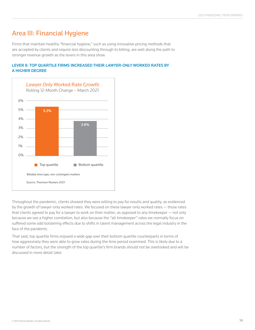## Area III: Financial Hygiene

Firms that maintain healthy "financial hygiene," such as using innovative pricing methods that are accepted by clients and require less discounting through to billing, are well along the path to stronger revenue growth as the levers in this area show.

#### LEVER 8: TOP QUARTILE FIRMS INCREASED THEIR *LAWYER-ONLY* WORKED RATES BY A HIGHER DEGREE



Throughout the pandemic, clients showed they were willing to pay for results and quality, as evidenced by the growth of lawyer-only worked rates. We focused on these lawyer-only worked rates — those rates that clients agreed to pay for a lawyer to work on their matter, as opposed to any timekeeper — not only because we see a higher correlation, but also because the "all timekeeper" rates we normally focus on suffered some odd bolstering effects due to shifts in talent management across the legal industry in the face of the pandemic.

That said, top quartile firms enjoyed a wide gap over their bottom quartile counterparts in terms of how aggressively they were able to grow rates during the time period examined. This is likely due to a number of factors, but the strength of the top quartile's firm brands should not be overlooked and will be discussed in more detail later.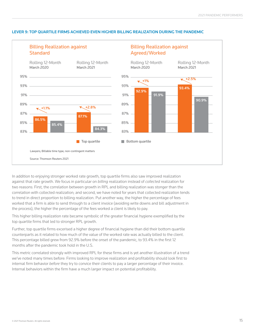#### LEVER 9: TOP QUARTILE FIRMS ACHIEVED EVEN HIGHER BILLING REALIZATION DURING THE PANDEMIC





In addition to enjoying stronger worked rate growth, top quartile firms also saw improved realization against that rate growth. We focus in particular on *billing* realization instead of *collected* realization for two reasons: First, the correlation between growth in RPL and billing realization was stonger than the correlation with collected realization; and second, we have noted for years that collected realization tends to trend in direct proportion to billing realization. Put another way, the higher the percentage of fees worked that a firm is able to send through to a client invoice (avoiding write downs and bill adjustment in the process), the higher the percentage of the fees worked a client is likely to pay.

This higher billing realization rate became symbolic of the greater financial hygiene exemplified by the top quartile firms that led to stronger RPL growth.

Further, top quartile firms excerised a higher degree of financial hygiene than did their bottom quartile counterparts as it related to how much of the value of the worked rate was actually billed to the client. This percentage billed grew from 92.9% before the onset of the pandemic, to 93.4% in the first 12 months after the pandemic took hold in the U.S.

This metric correlated strongly with improved RPL for these firms and is yet another illustration of a trend we've noted many times before: Firms looking to improve realization and profitability should look first to internal firm behavior *before* they try to convice their clients to pay a larger percentage of their invoice. Internal behaviors within the firm have a much larger impact on potential profitability.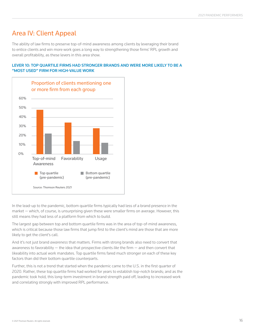## Area IV: Client Appeal

The ability of law firms to preserve top-of-mind awareness among clients by leveraging their brand to entice clients and win more work goes a long way to strengthening those firms' RPL growth and overall profitability, as these levers in this area show.



#### LEVER 10: TOP QUARTILE FIRMS HAD STRONGER BRANDS AND WERE MORE LIKELY TO BE A "MOST USED" FIRM FOR HIGH-VALUE WORK

In the lead-up to the pandemic, bottom quartile firms typically had less of a brand presence in the market — which, of course, is unsurprising given these were smaller firms on average. However, this still means they had less of a platform from which to build.

The largest gap between top and bottom quartile firms was in the area of top-of-mind awareness, which is critical because those law firms that jump first to the client's mind are those that are more likely to get the client's call.

And it's not just brand *awareness* that matters. Firms with strong brands also need to convert that awareness to favorability — the idea that prospective clients *like* the firm — and then convert that likeability into actual work mandates. Top quartile firms fared much stronger on each of these key factors than did their bottom quartile counterparts.

Further, this is not a trend that started when the pandemic came to the U.S. in the first quarter of 2020. Rather, these top quartile firms had worked for years to establish top-notch brands; and as the pandemic took hold, this long-term investment in brand strength paid off, leading to increased work and correlating strongly with improved RPL performance.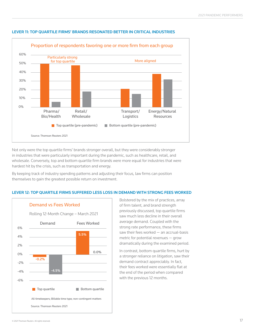

#### LEVER 11: TOP QUARTILE FIRMS' BRANDS RESONATED BETTER IN CRITICAL INDUSTRIES

Not only were the top quartile firms' brands stronger overall, but they were considerably stronger in industries that were particularly important during the pandemic, such as healthcare, retail, and wholesale. Conversely, top and bottom quartile firm brands were more equal for industries that were hardest hit by the crisis, such as transportation and energy.

By keeping track of industry spending patterns and adjusting their focus, law firms can position themselves to gain the greatest possible return on investment.

#### LEVER 12: TOP QUARTILE FIRMS SUFFERED LESS LOSS IN DEMAND WITH STRONG FEES WORKED



Bolstered by the mix of practices, array of firm talent, and brand strength previously discussed, top quartile firms saw much less decline in their overall average demand. Coupled with the strong rate performance, these firms saw their fees worked — an accrual-basis metric for potential revenues — grow dramatically during the examined period.

In contrast, bottom quartile firms, hurt by a stronger reliance on litigation, saw their demand contract appreciably. In fact, their fees worked were essentially flat at the end of the period when compared with the previous 12 months.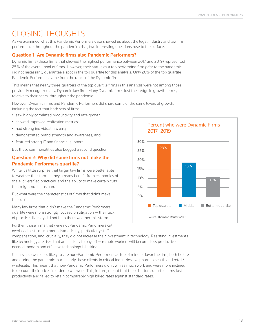# CLOSING THOUGHTS

As we examined what this Pandemic Performers data showed us about the legal industry and law firm performance throughout the pandemic crisis, two interesting questions rose to the surface.

## Question 1: Are Dynamic firms also Pandemic Performers?

Dynamic firms (those firms that showed the highest performance between 2017 and 2019) represented 25% of the overall pool of firms. However, their status as a top performing firm *prior* to the pandemic did not necessarily guarantee a spot in the top quartile for this analysis. Only 28% of the top quartile Pandemic Performers came from the ranks of the Dynamic firms.

This means that nearly three-quarters of the top quartile firms in this analysis were not among those previously recognized as a Dynamic law firm. Many Dynamic firms lost their edge in growth terms, relative to their peers, throughout the pandemic.

However, Dynamic firms and Pandemic Performers did share some of the same levers of growth, including the fact that both sets of firms:

- saw highly correlated productivity and rate growth;
- showed improved realization metrics;
- had strong individual lawyers;
- demonstrated brand strength and awareness; and
- featured strong IT and financial support.

But these commonalities also begged a second question:

### Question 2: Why did some firms not make the Pandemic Performers quartile?

While it's little surprise that larger law firms were better able to weather the storm — they already benefit from economies of scale, diversified practices, and the ability to make certain cuts that might not hit as hard.

But what were the characteristics of firms that didn't make the cut?

Many law firms that didn't make the Pandemic Performers quartile were more strongly focused on litigation — their lack of practice diversity did not help them weather this storm.

Further, those firms that were not Pandemic Performers cut overhead costs much more dramatically, particularly staff

Percent who were Dynamic Firms 2017–2019 30% 25% 20% 15% 10% 5% 0% **The Solution Contract Contract** Top quartile 11% 28% 18%

Source: Thomson Reuters 2021

compensation; and, crucially, they did not increase their investment in technology. Resisting investments like technology are risks that aren't likely to pay off — remote workers will become less productive if needed modern and effective technology is lacking.

Clients also were less likely to cite non-Pandemic Performers as top of mind or favor the firm, both before and during the pandemic, particularly those clients in critical industries like pharma/health and retail/ wholesale. This meant that non-Pandemic Performers didn't win as much work and were more inclined to discount their prices in order to win work. This, in turn, meant that these bottom-quartile firms lost productivity and failed to retain comparably high billed rates against standard rates.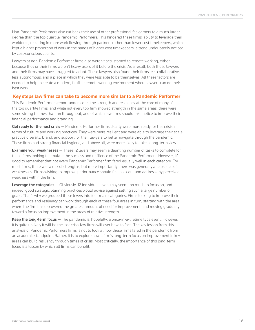Non-Pandemic Performers also cut back their use of other professional fee earners to a much larger degree than the top quartile Pandemic Performers. This hindered these firms' ability to leverage their workforce, resulting in more work flowing through partners rather than lower cost timekeepers, which kept a higher proportion of work in the hands of higher cost timekeepers, a trend undoubtedly noticed by cost-conscious clients.

Lawyers at non-Pandemic Performer firms also weren't accustomed to remote working, either because they or their firms weren't heavy users of it before the crisis. As a result, both those lawyers and their firms may have struggled to adapt. These lawyers also found their firms less collaborative, less autonomous, and a place in which they were less able to be themselves. All these factors are needed to help to create a modern, flexible remote working environment where lawyers can do their best work.

#### Key steps law firms can take to become more similar to a Pandemic Performer

This Pandemic Performers report underscores the strength and resiliency at the core of many of the top quartile firms, and while not every top firm showed strength in the same areas, there were some strong themes that ran throughout, and of which law firms should take notice to improve their financial performance and branding.

Get ready for the next crisis - Pandemic Performer firms clearly were more ready for this crisis in terms of culture and working practices. They were more resilient and were able to leverage their scale, practice diversity, brand, and support for their lawyers to better navigate through the pandemic. These firms had strong financial hygiene; and above all, were more likely to take a long-term view.

**Examine your weaknesses** – These 12 levers may seem a daunting number of tasks to complete for those firms looking to emulate the success and resilience of the Pandemic Performers. However, it's good to remember that not every Pandemic Performer firm fared equally well in each category. For most firms, there was a mix of strengths, but more importantly, there was generally an absence of weaknesses. Firms wishing to improve performance should first seek out and address any perceived weakness within the firm.

Leverage the categories – Obviously, 12 individual levers may seem too much to focus on, and indeed, good strategic planning practices would advise against setting such a large number of goals. That's why we grouped these levers into four main categories. Firms looking to improve their performance and resiliency can work through each of these four areas in turn, starting with the area where the firm has discovered the greatest amount of need for improvement, and moving gradually toward a focus on improvement in the areas of relative strength.

Keep the long-term focus - The pandemic is, hopefully, a once-in-a-lifetime type event. However, it is quite unlikely it will be the last crisis law firms will ever have to face. The key lesson from this analysis of Pandemic Performers firms is not to look at how these firms fared in the pandemic from an academic standpoint. Rather, it is to explore how a firm's long-term focus on improvement in key areas can build resiliency through times of crisis. Most critically, the importance of this long-term focus is a lesson by which all firms can benefit.